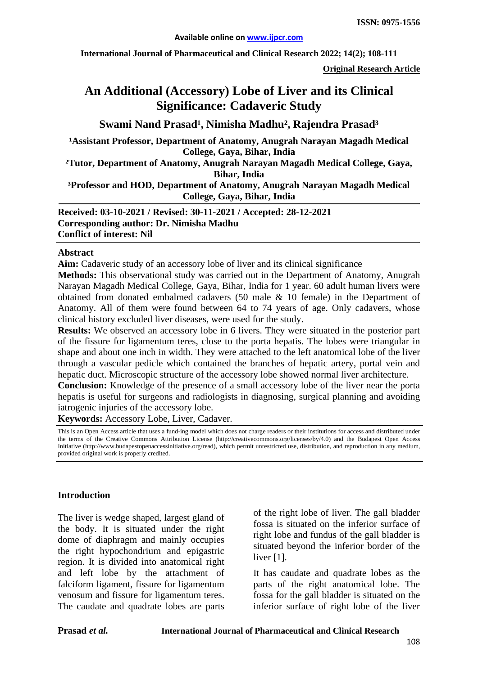**International Journal of Pharmaceutical and Clinical Research 2022; 14(2); 108-111**

**Original Research Article**

# **An Additional (Accessory) Lobe of Liver and its Clinical Significance: Cadaveric Study**

Swami Nand Prasad<sup>1</sup>, Nimisha Madhu<sup>2</sup>, Rajendra Prasad<sup>3</sup>

<sup>1</sup> Assistant Professor, Department of Anatomy, Anugrah Narayan Magadh Medical **College, Gaya, Bihar, India**

**²Tutor, Department of Anatomy, Anugrah Narayan Magadh Medical College, Gaya, Bihar, India**

#### **³Professor and HOD, Department of Anatomy, Anugrah Narayan Magadh Medical College, Gaya, Bihar, India**

**Received: 03-10-2021 / Revised: 30-11-2021 / Accepted: 28-12-2021 Corresponding author: Dr. Nimisha Madhu Conflict of interest: Nil**

#### **Abstract**

**Aim:** Cadaveric study of an accessory lobe of liver and its clinical significance

**Methods:** This observational study was carried out in the Department of Anatomy, Anugrah Narayan Magadh Medical College, Gaya, Bihar, India for 1 year. 60 adult human livers were obtained from donated embalmed cadavers (50 male & 10 female) in the Department of Anatomy. All of them were found between 64 to 74 years of age. Only cadavers, whose clinical history excluded liver diseases, were used for the study.

**Results:** We observed an accessory lobe in 6 livers. They were situated in the posterior part of the fissure for ligamentum teres, close to the porta hepatis. The lobes were triangular in shape and about one inch in width. They were attached to the left anatomical lobe of the liver through a vascular pedicle which contained the branches of hepatic artery, portal vein and hepatic duct. Microscopic structure of the accessory lobe showed normal liver architecture.

**Conclusion:** Knowledge of the presence of a small accessory lobe of the liver near the porta hepatis is useful for surgeons and radiologists in diagnosing, surgical planning and avoiding iatrogenic injuries of the accessory lobe.

**Keywords:** Accessory Lobe, Liver, Cadaver.

This is an Open Access article that uses a fund-ing model which does not charge readers or their institutions for access and distributed under the terms of the Creative Commons Attribution License (http://creativecommons.org/licenses/by/4.0) and the Budapest Open Access Initiative (http://www.budapestopenaccessinitiative.org/read), which permit unrestricted use, distribution, and reproduction in any medium, provided original work is properly credited.

#### **Introduction**

The liver is wedge shaped, largest gland of the body. It is situated under the right dome of diaphragm and mainly occupies the right hypochondrium and epigastric region. It is divided into anatomical right and left lobe by the attachment of falciform ligament, fissure for ligamentum venosum and fissure for ligamentum teres. The caudate and quadrate lobes are parts

of the right lobe of liver. The gall bladder fossa is situated on the inferior surface of right lobe and fundus of the gall bladder is situated beyond the inferior border of the liver [1].

It has caudate and quadrate lobes as the parts of the right anatomical lobe. The fossa for the gall bladder is situated on the inferior surface of right lobe of the liver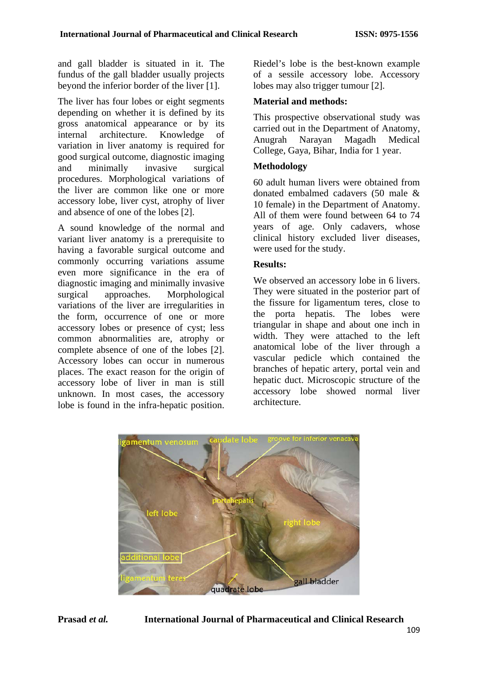and gall bladder is situated in it. The fundus of the gall bladder usually projects beyond the inferior border of the liver [1].

The liver has four lobes or eight segments depending on whether it is defined by its gross anatomical appearance or by its internal architecture. Knowledge of variation in liver anatomy is required for good surgical outcome, diagnostic imaging and minimally invasive surgical procedures. Morphological variations of the liver are common like one or more accessory lobe, liver cyst, atrophy of liver and absence of one of the lobes [2].

A sound knowledge of the normal and variant liver anatomy is a prerequisite to having a favorable surgical outcome and commonly occurring variations assume even more significance in the era of diagnostic imaging and minimally invasive<br>surgical approaches. Morphological surgical approaches. Morphological variations of the liver are irregularities in the form, occurrence of one or more accessory lobes or presence of cyst; less common abnormalities are, atrophy or complete absence of one of the lobes [2]. Accessory lobes can occur in numerous places. The exact reason for the origin of accessory lobe of liver in man is still unknown. In most cases, the accessory lobe is found in the infra-hepatic position.

Riedel's lobe is the best-known example of a sessile accessory lobe. Accessory lobes may also trigger tumour [2].

## **Material and methods:**

This prospective observational study was carried out in the Department of Anatomy, Anugrah Narayan Magadh Medical College, Gaya, Bihar, India for 1 year.

# **Methodology**

60 adult human livers were obtained from donated embalmed cadavers (50 male & 10 female) in the Department of Anatomy. All of them were found between 64 to 74 years of age. Only cadavers, whose clinical history excluded liver diseases, were used for the study.

### **Results:**

We observed an accessory lobe in 6 livers. They were situated in the posterior part of the fissure for ligamentum teres, close to the porta hepatis. The lobes were triangular in shape and about one inch in width. They were attached to the left anatomical lobe of the liver through a vascular pedicle which contained the branches of hepatic artery, portal vein and hepatic duct. Microscopic structure of the accessory lobe showed normal liver architecture.

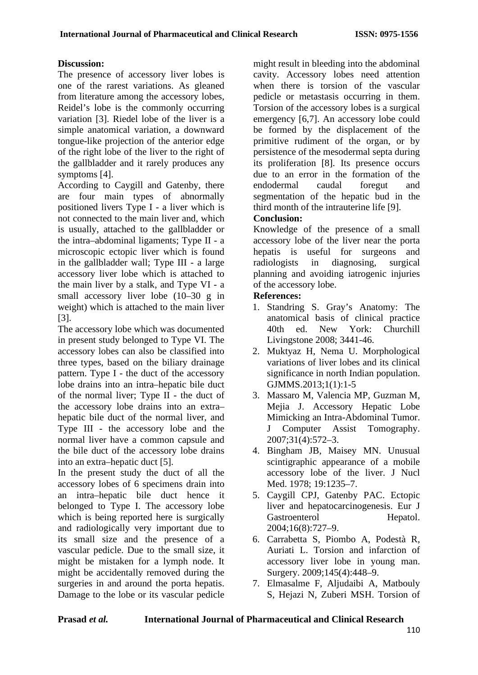## **Discussion:**

The presence of accessory liver lobes is one of the rarest variations. As gleaned from literature among the accessory lobes, Reidel's lobe is the commonly occurring variation [3]. Riedel lobe of the liver is a simple anatomical variation, a downward tongue-like projection of the anterior edge of the right lobe of the liver to the right of the gallbladder and it rarely produces any symptoms [4].

According to Caygill and Gatenby, there are four main types of abnormally positioned livers Type I - a liver which is not connected to the main liver and, which is usually, attached to the gallbladder or the intra–abdominal ligaments; Type II - a microscopic ectopic liver which is found in the gallbladder wall; Type III - a large accessory liver lobe which is attached to the main liver by a stalk, and Type VI - a small accessory liver lobe (10–30 g in weight) which is attached to the main liver [3].

The accessory lobe which was documented in present study belonged to Type VI. The accessory lobes can also be classified into three types, based on the biliary drainage pattern. Type I - the duct of the accessory lobe drains into an intra–hepatic bile duct of the normal liver; Type II - the duct of the accessory lobe drains into an extra– hepatic bile duct of the normal liver, and Type III - the accessory lobe and the normal liver have a common capsule and the bile duct of the accessory lobe drains into an extra–hepatic duct [5].

In the present study the duct of all the accessory lobes of 6 specimens drain into an intra–hepatic bile duct hence it belonged to Type I. The accessory lobe which is being reported here is surgically and radiologically very important due to its small size and the presence of a vascular pedicle. Due to the small size, it might be mistaken for a lymph node. It might be accidentally removed during the surgeries in and around the porta hepatis. Damage to the lobe or its vascular pedicle

might result in bleeding into the abdominal cavity. Accessory lobes need attention when there is torsion of the vascular pedicle or metastasis occurring in them. Torsion of the accessory lobes is a surgical emergency [6,7]. An accessory lobe could be formed by the displacement of the primitive rudiment of the organ, or by persistence of the mesodermal septa during its proliferation [8]. Its presence occurs due to an error in the formation of the endodermal caudal foregut and segmentation of the hepatic bud in the third month of the intrauterine life [9].

## **Conclusion:**

Knowledge of the presence of a small accessory lobe of the liver near the porta hepatis is useful for surgeons and radiologists in diagnosing, surgical planning and avoiding iatrogenic injuries of the accessory lobe.

### **References:**

- 1. Standring S. Gray's Anatomy: The anatomical basis of clinical practice 40th ed. New York: Churchill Livingstone 2008; 3441-46.
- 2. Muktyaz H, Nema U. Morphological variations of liver lobes and its clinical significance in north Indian population. GJMMS.2013;1(1):1-5
- 3. Massaro M, Valencia MP, Guzman M, Mejia J. Accessory Hepatic Lobe Mimicking an Intra-Abdominal Tumor. J Computer Assist Tomography. 2007;31(4):572–3.
- 4. Bingham JB, Maisey MN. Unusual scintigraphic appearance of a mobile accessory lobe of the liver. J Nucl Med. 1978; 19:1235–7.
- 5. Caygill CPJ, Gatenby PAC. Ectopic liver and hepatocarcinogenesis. Eur J Gastroenterol Hepatol. 2004;16(8):727–9.
- 6. Carrabetta S, Piombo A, Podestà R, Auriati L. Torsion and infarction of accessory liver lobe in young man. Surgery. 2009;145(4):448–9.
- 7. Elmasalme F, Aljudaibi A, Matbouly S, Hejazi N, Zuberi MSH. Torsion of